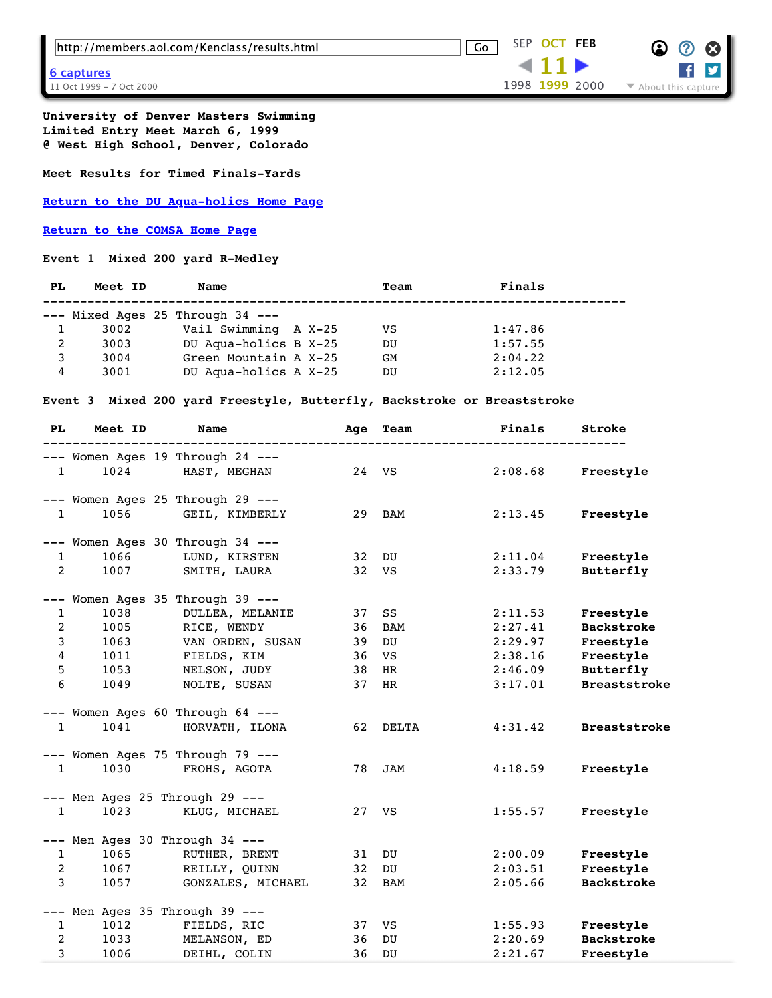|  |  |  | http://members.aol.com/Kenclass/results.html |  |  |  |  |  |  |  |
|--|--|--|----------------------------------------------|--|--|--|--|--|--|--|
|--|--|--|----------------------------------------------|--|--|--|--|--|--|--|

**University of Denver Masters Swimming Limited Entry Meet March 6, 1999 @ West High School, Denver, Colorado**

**Meet Results for Timed Finals-Yards**

**[Return to the DU Aqua-holics Home Page](https://web.archive.org/web/19991011024644/http://members.aol.com/dumasters/swim.html)**

**[Return to the COMSA Home Page](https://web.archive.org/web/19991011024644/http://www.comsa.org/)**

**Event 1 Mixed 200 yard R-Medley** 

| PL. | Meet ID | Name                                 | Team      | Finals  |  |
|-----|---------|--------------------------------------|-----------|---------|--|
|     |         | $---$ Mixed Ages 25 Through 34 $---$ |           |         |  |
|     | 3002    | Vail Swimming A X-25                 | VS        | 1:47.86 |  |
| 2   | 3003    | DU Aqua-holics B X-25                | DU        | 1:57.55 |  |
| 3   | 3004    | Green Mountain A X-25                | <b>GM</b> | 2:04.22 |  |
| 4   | 3001    | DU Aqua-holics A X-25                | DU        | 2:12.05 |  |
|     |         |                                      |           |         |  |

**Event 3 Mixed 200 yard Freestyle, Butterfly, Backstroke or Breaststroke** 

| PL             | Meet ID | Name                                 | Age | Team       | Finals  | Stroke              |
|----------------|---------|--------------------------------------|-----|------------|---------|---------------------|
|                |         | --- Women Ages 19 Through 24 ---     |     |            |         |                     |
| $\mathbf{1}$   | 1024    | HAST, MEGHAN                         | 24  | VS         | 2:08.68 | Freestyle           |
|                |         | --- Women Ages 25 Through 29 ---     |     |            |         |                     |
| $\mathbf{1}$   | 1056    | GEIL, KIMBERLY                       | 29  | BAM        | 2:13.45 | Freestyle           |
|                |         | --- Women Ages 30 Through 34 ---     |     |            |         |                     |
| $\mathbf{1}$   | 1066    | LUND, KIRSTEN                        | 32  | DU         | 2:11.04 | Freestyle           |
| 2              | 1007    | SMITH, LAURA                         | 32  | VS         | 2:33.79 | Butterfly           |
|                |         | --- Women Ages 35 Through 39 ---     |     |            |         |                     |
| $\mathbf{1}$   | 1038    | DULLEA, MELANIE                      | 37  | SS         | 2:11.53 | Freestyle           |
| 2              | 1005    | RICE, WENDY                          | 36  | BAM        | 2:27.41 | <b>Backstroke</b>   |
| $\mathbf{3}$   | 1063    | VAN ORDEN, SUSAN                     | 39  | DU         | 2:29.97 | Freestyle           |
| $\overline{4}$ | 1011    | FIELDS, KIM                          | 36  | VS         | 2:38.16 | Freestyle           |
| 5              | 1053    | NELSON, JUDY                         | 38  | HR         | 2:46.09 | Butterfly           |
| 6              | 1049    | NOLTE, SUSAN                         | 37  | HR         | 3:17.01 | <b>Breaststroke</b> |
|                |         | --- Women Ages 60 Through 64 ---     |     |            |         |                     |
| $\mathbf{1}$   | 1041    | HORVATH, ILONA                       | 62  | DELTA      | 4:31.42 | <b>Breaststroke</b> |
|                |         | $---$ Women Ages 75 Through 79 $---$ |     |            |         |                     |
| $\mathbf{1}$   | 1030    | FROHS, AGOTA                         | 78  | <b>JAM</b> | 4:18.59 | Freestyle           |
|                |         | $---$ Men Ages 25 Through 29 $---$   |     |            |         |                     |
| $\mathbf{1}$   | 1023    | KLUG, MICHAEL                        | 27  | VS         | 1:55.57 | Freestyle           |
|                |         | $---$ Men Ages 30 Through 34 $---$   |     |            |         |                     |
| $\mathbf{1}$   | 1065    | RUTHER, BRENT                        | 31  | DU         | 2:00.09 | Freestyle           |
| 2              | 1067    | REILLY, QUINN                        | 32  | DU         | 2:03.51 | Freestyle           |
| $\mathbf{3}$   | 1057    | GONZALES, MICHAEL                    | 32  | BAM        | 2:05.66 | <b>Backstroke</b>   |
|                |         | --- Men Ages 35 Through 39 ---       |     |            |         |                     |
| $\mathbf{1}$   | 1012    | FIELDS, RIC                          | 37  | VS         | 1:55.93 | Freestyle           |
| $\overline{a}$ | 1033    | MELANSON, ED                         | 36  | DU         | 2:20.69 | <b>Backstroke</b>   |
| 3              | 1006    | DEIHL, COLIN                         | 36  | DU         | 2:21.67 | Freestyle           |

http://members.aol.com/Kenclass/results.html Go SEP **OCT [FEB](https://web.archive.org/web/20000208113939/http://members.aol.com:80/Kenclass/results.html)**

**11** 1998 **1999** 2000

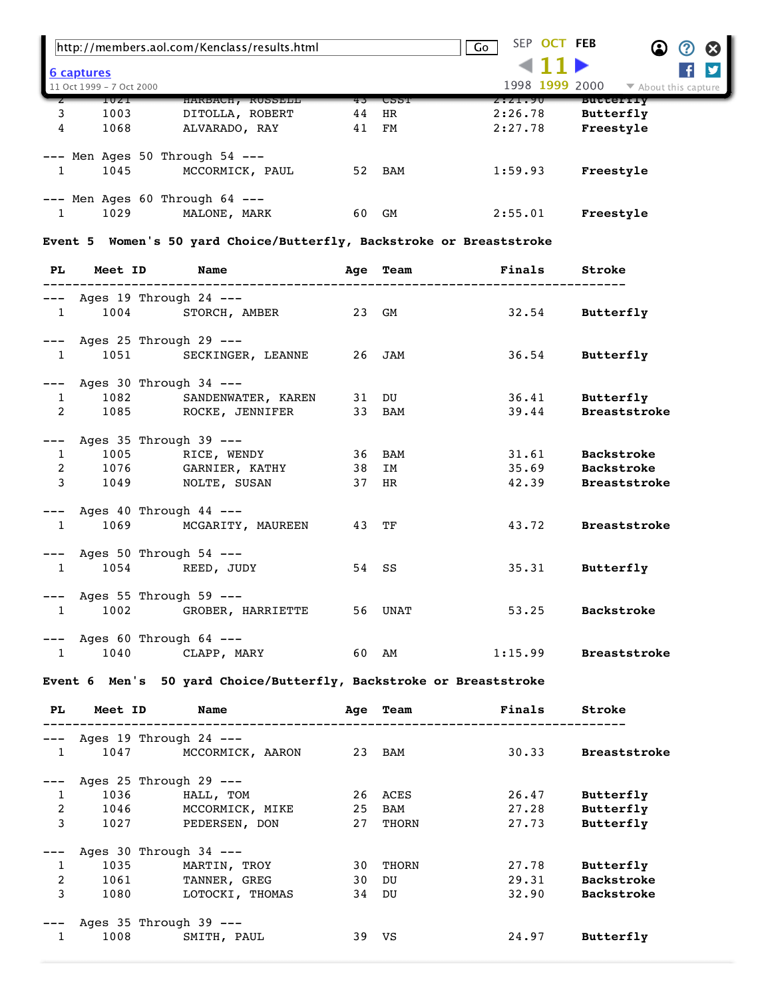|                   |                          | http://members.aol.com/Kenclass/results.html    |    |             | SEP OCT FEB<br>Go | $\boldsymbol{\alpha}$<br>(?) |
|-------------------|--------------------------|-------------------------------------------------|----|-------------|-------------------|------------------------------|
| <u>6 captures</u> | 11 Oct 1999 - 7 Oct 2000 |                                                 |    |             | 1998 1999 2000    | ▼ About this capture         |
|                   | 10Z1                     | HARBACH, RUSSELL                                | 43 | <b>CPPI</b> | 2:21.90           | <b>BUTTELIY</b>              |
| 3                 | 1003                     | DITOLLA, ROBERT                                 | 44 | HR          | 2:26.78           | Butterfly                    |
| 4                 | 1068                     | ALVARADO, RAY                                   | 41 | FМ          | 2:27.78           | Freestyle                    |
|                   | 1045                     | Men Ages 50 Through $54$ ---<br>MCCORMICK, PAUL | 52 | BAM         | 1:59.93           | Freestyle                    |
|                   | 1029                     | Men Ages $60$ Through $64$ ---<br>MALONE, MARK  | 60 | GM          | 2:55.01           | Freestyle                    |

**Event 5 Women's 50 yard Choice/Butterfly, Backstroke or Breaststroke** 

| PL Meet ID Name                                                  |                                                                                       |         | Age Team Finals            | Stroke                                                     |
|------------------------------------------------------------------|---------------------------------------------------------------------------------------|---------|----------------------------|------------------------------------------------------------|
| $---$ Ages 19 Through 24 $---$                                   | 1 1004 STORCH, AMBER 23 GM                                                            |         | 32.54 Butterfly            |                                                            |
| $---$ Ages 25 Through 29 $---$                                   | 1 1051 SECKINGER, LEANNE 26 JAM 36.54 Butterfly                                       |         |                            |                                                            |
| $---$ Ages 30 Through 34 $---$                                   | 1 1082 SANDENWATER, KAREN 31 DU<br>2 1085 ROCKE, JENNIFER 33 BAM                      |         | 36.41 Butterfly            | 39.44 Breaststroke                                         |
| $---$ Ages 35 Through 39 $---$                                   | 1 1005 RICE, WENDY 36 BAM<br>2 1076 GARNIER, KATHY 38 IM<br>3 1049 NOLTE, SUSAN 37 HR |         |                            | 31.61 Backstroke<br>35.69 Backstroke<br>42.39 Breaststroke |
| $---$ Ages 40 Through 44 $---$<br>$---$ Ages 50 Through 54 $---$ | 1 1069 MCGARITY, MAUREEN                                                              | 43 TF   |                            | 43.72 Breaststroke                                         |
|                                                                  | 1 1054 REED, JUDY                                                                     | 54 SS   |                            | 35.31 Butterfly                                            |
| $---$ Ages 55 Through 59 $---$                                   | 1 1002 GROBER, HARRIETTE                                                              | 56 UNAT | 53.25 Backstroke           |                                                            |
| $---$ Ages 60 Through 64 $---$                                   | 1 1040 CLAPP, MARY                                                                    |         | 60 AM 1:15.99 Breaststroke |                                                            |

**Event 6 Men's 50 yard Choice/Butterfly, Backstroke or Breaststroke**

| PL.            | Meet ID                    | <b>Name</b>      | Aqe | Team  | Finals | Stroke              |
|----------------|----------------------------|------------------|-----|-------|--------|---------------------|
|                | Ages 19 Through 24 ---     |                  |     |       |        |                     |
| 1              | 1047                       | MCCORMICK, AARON | 23  | BAM   | 30.33  | <b>Breaststroke</b> |
|                | Ages 25 Through 29 $---$   |                  |     |       |        |                     |
| 1              | 1036                       | HALL, TOM        | 26  | ACES  | 26.47  | Butterfly           |
| $\overline{2}$ | 1046                       | MCCORMICK, MIKE  | 25  | BAM   | 27.28  | Butterfly           |
| 3              | 1027                       | PEDERSEN, DON    | 27  | THORN | 27.73  | Butterfly           |
|                | Ages $30$ Through $34$ --- |                  |     |       |        |                     |
| 1              | 1035                       | MARTIN, TROY     | 30  | THORN | 27.78  | Butterfly           |
| $\overline{2}$ | 1061                       | TANNER, GREG     | 30  | DU    | 29.31  | <b>Backstroke</b>   |
| 3              | 1080                       | LOTOCKI, THOMAS  | 34  | DU    | 32.90  | <b>Backstroke</b>   |
|                | Ages $35$ Through $39$ --- |                  |     |       |        |                     |
| 1              | 1008                       | SMITH, PAUL      | 39  | VS    | 24.97  | Butterfly           |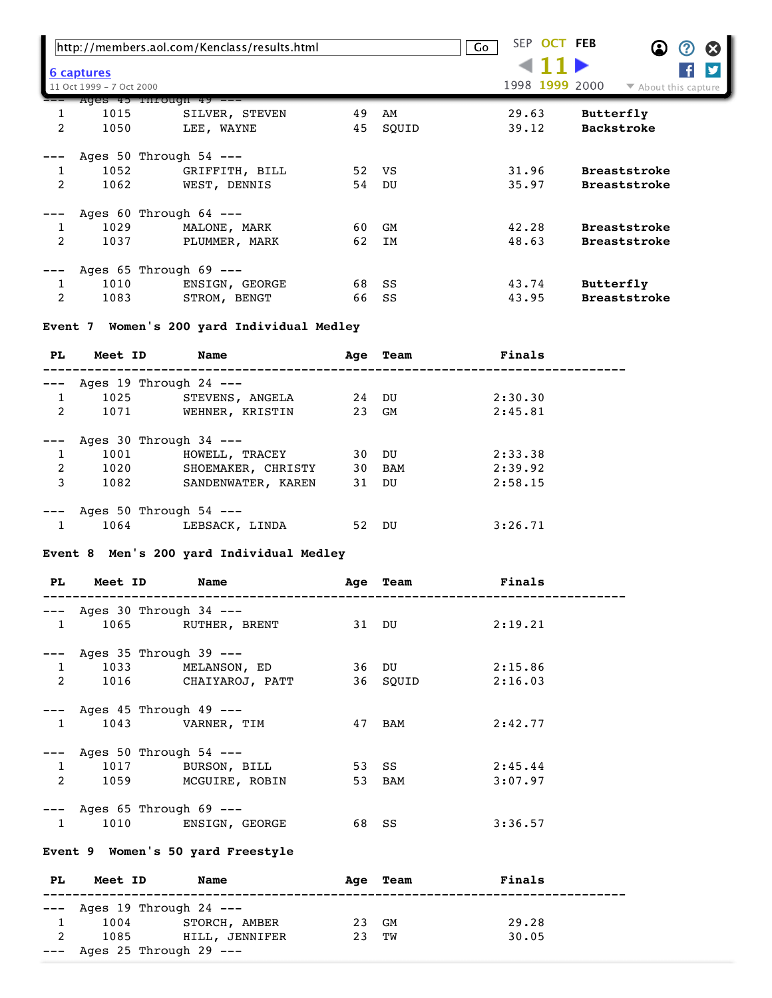|   |                                               | http://members.aol.com/Kenclass/results.html                 |          |             | SEP OCT FEB<br>Go | $\omega$<br>$\boldsymbol{\alpha}$<br>$\bf{Q}$ |
|---|-----------------------------------------------|--------------------------------------------------------------|----------|-------------|-------------------|-----------------------------------------------|
|   | <u>6 captures</u><br>11 Oct 1999 - 7 Oct 2000 |                                                              |          |             | 1998 1999 2000    | $\blacktriangleright$ About this capture      |
| 2 | 1015<br>1050                                  | Ages 45 Through 49 --<br>SILVER, STEVEN<br>LEE, WAYNE        | 49<br>45 | AM<br>SOUID | 29.63<br>39.12    | Butterfly<br><b>Backstroke</b>                |
| 2 | 1052<br>1062                                  | Ages 50 Through $54$ ---<br>GRIFFITH, BILL<br>WEST, DENNIS   | 52<br>54 | VS<br>DU    | 31.96<br>35.97    | <b>Breaststroke</b><br><b>Breaststroke</b>    |
| 2 | 1029<br>1037                                  | Ages $60$ Through $64$ ---<br>MALONE, MARK<br>PLUMMER, MARK  | 60<br>62 | GM<br>IM    | 42.28<br>48.63    | <b>Breaststroke</b><br><b>Breaststroke</b>    |
| 2 | 1010<br>1083                                  | Ages $65$ Through $69$ ---<br>ENSIGN, GEORGE<br>STROM, BENGT | 68<br>66 | SS<br>SS    | 43.74<br>43.95    | Butterfly<br><b>Breaststroke</b>              |

## **Event 7 Women's 200 yard Individual Medley**

| PL. | Meet ID | Name                       |       | Age Team | Finals  |  |
|-----|---------|----------------------------|-------|----------|---------|--|
|     |         | Ages $19$ Through $24$ --- |       |          |         |  |
| 1   | 1025    | STEVENS, ANGELA            | 24 DU |          | 2:30.30 |  |
| 2   | 1071    | WEHNER, KRISTIN            | 23 GM |          | 2:45.81 |  |
|     |         | Ages 30 Through $34$ ---   |       |          |         |  |
| 1   | 1001    | HOWELL, TRACEY             | 30    | DU       | 2:33.38 |  |
| 2   | 1020    | SHOEMAKER, CHRISTY         |       | 30 BAM   | 2:39.92 |  |
| 3   | 1082    | SANDENWATER, KAREN         | 31 DU |          | 2:58.15 |  |
|     |         | Ages 50 Through $54$ ---   |       |          |         |  |
|     | 1064    | LEBSACK, LINDA             | 52    | DU       | 3:26.71 |  |

## **Event 8 Men's 200 yard Individual Medley**

| PL FL          | <b>Meet ID</b> | Name                           |       | Age Team | <b>Finals</b> |  |
|----------------|----------------|--------------------------------|-------|----------|---------------|--|
|                |                | $---$ Ages 30 Through 34 $---$ |       |          |               |  |
| $\mathbf{1}$   |                | 1065 RUTHER, BRENT             |       | 31 DU    | 2:19.21       |  |
|                |                | Ages 35 Through 39 ---         |       |          |               |  |
| $\mathbf{1}$   |                | 1033 MELANSON, ED              |       | 36 DU    | 2:15.86       |  |
| $\overline{2}$ |                | 1016 CHAIYAROJ, PATT           |       | 36 SQUID | 2:16.03       |  |
|                |                | --- Ages 45 Through 49 ---     |       |          |               |  |
| $\mathbf{1}$   |                | 1043 VARNER, TIM               |       | 47 BAM   | 2:42.77       |  |
|                |                | --- Ages 50 Through 54 ---     |       |          |               |  |
| $\mathbf{1}$   |                | 1017 BURSON, BILL              |       | 53 SS    | 2:45.44       |  |
| $\overline{2}$ | 1059           | MCGUIRE, ROBIN                 |       | 53 BAM   | 3:07.97       |  |
|                |                | --- Ages 65 Through 69 ---     |       |          |               |  |
| 1              |                | 1010 ENSIGN, GEORGE            | 68 SS |          | 3:36.57       |  |

## **Event 9 Women's 50 yard Freestyle**

| PL | Meet ID | Name                           |       | Age Team | Finals |
|----|---------|--------------------------------|-------|----------|--------|
|    |         |                                |       |          |        |
|    |         | $---$ Ages 19 Through 24 $---$ |       |          |        |
|    | 1004    | STORCH, AMBER                  | 23 GM |          | 29.28  |
| 2  | 1085    | HILL, JENNIFER                 | 23 TW |          | 30.05  |
|    |         | $---$ Ages 25 Through 29 $---$ |       |          |        |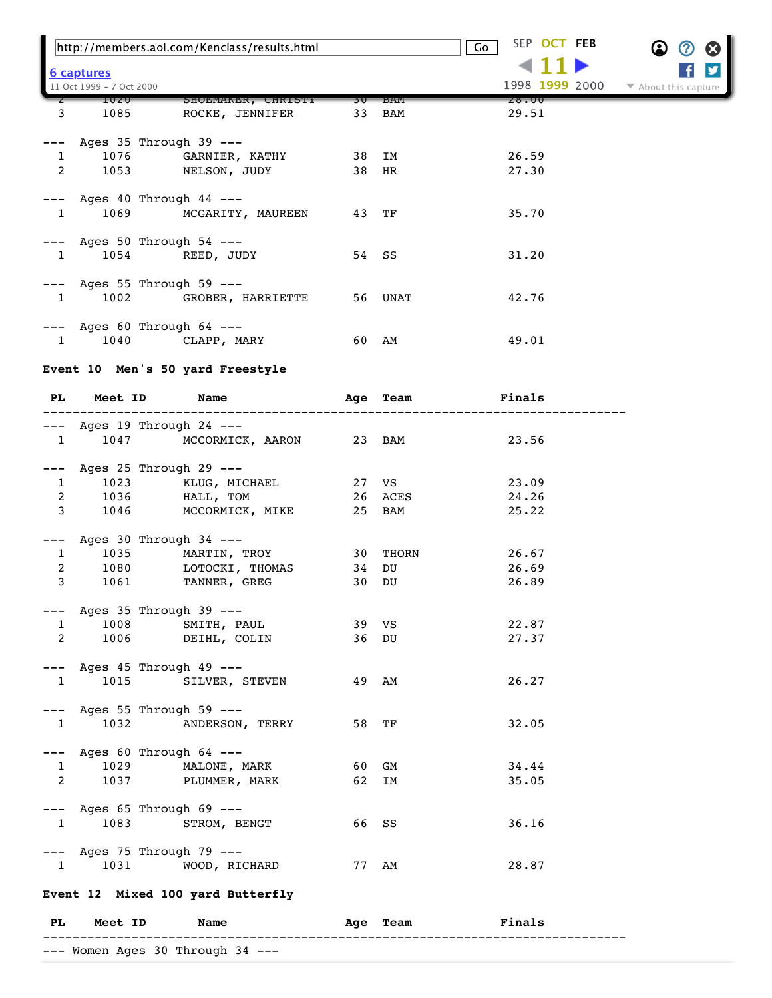|                |                                                          | http://members.aol.com/Kenclass/results.html |      |             | SEP OCT FEB<br>$\overline{G}$ o |                      |
|----------------|----------------------------------------------------------|----------------------------------------------|------|-------------|---------------------------------|----------------------|
|                | 6 captures                                               |                                              |      |             | ◀ 1                             |                      |
|                | 11 Oct 1999 - 7 Oct 2000                                 |                                              |      |             | 1998 1999 2000                  | ▼ About this capture |
|                | 1020                                                     | SHOEMAKER, CHRISTY                           | 30 I | <b>BAM</b>  | 28.UU                           |                      |
| 3              | 1085                                                     | ROCKE, JENNIFER                              | 33   | BAM         | 29.51                           |                      |
|                | --- Ages 35 Through 39 ---                               |                                              |      |             |                                 |                      |
| $\mathbf{1}$   |                                                          | 1076 GARNIER, KATHY                          |      | 38 IM       | 26.59                           |                      |
| 2              |                                                          | 1053 NELSON, JUDY                            |      | 38 HR       | 27.30                           |                      |
|                | $---$ Ages 40 Through 44 $---$                           |                                              |      |             |                                 |                      |
| $\mathbf{1}$   | 1069                                                     | MCGARITY, MAUREEN                            | 43   | TF          | 35.70                           |                      |
|                |                                                          |                                              |      |             |                                 |                      |
|                | --- Ages 50 Through 54 ---                               |                                              |      |             |                                 |                      |
| $\mathbf{1}$   |                                                          | 1054 REED, JUDY                              |      | 54 SS       | 31.20                           |                      |
|                | $---$ Ages 55 Through 59 $---$                           |                                              |      |             |                                 |                      |
| $\overline{1}$ |                                                          | 1002 GROBER, HARRIETTE                       | 56   | UNAT        | 42.76                           |                      |
|                | $---$ Ages 60 Through 64 $---$                           |                                              |      |             |                                 |                      |
| $\mathbf{1}$   |                                                          | 1040 CLAPP, MARY                             |      | 60 AM       | 49.01                           |                      |
|                |                                                          |                                              |      |             |                                 |                      |
|                |                                                          | Event 10 Men's 50 yard Freestyle             |      |             |                                 |                      |
| PL.            | Meet ID                                                  | Name                                         | Age  | Team        | Finals                          |                      |
|                |                                                          |                                              |      |             |                                 |                      |
|                | --- Ages 19 Through 24 ---                               |                                              |      |             |                                 |                      |
| $\mathbf{1}$   | 1047                                                     | MCCORMICK, AARON 23 BAM                      |      |             | 23.56                           |                      |
|                | --- Ages 25 Through 29 ---                               |                                              |      |             |                                 |                      |
| $\mathbf{1}$   |                                                          | 1023 KLUG, MICHAEL                           |      | 27 VS       | 23.09                           |                      |
| $\overline{a}$ | 1036                                                     | HALL, TOM                                    |      | 26 ACES     | 24.26                           |                      |
| $\mathbf{3}$   |                                                          | 1046 MCCORMICK, MIKE                         |      | 25 BAM      | 25.22                           |                      |
| $---$          | Ages 30 Through 34 ---                                   |                                              |      |             |                                 |                      |
| $\mathbf{1}$   |                                                          | 1035 MARTIN, TROY                            |      | 30 THORN    | 26.67                           |                      |
| $\overline{a}$ |                                                          | 1080 LOTOCKI, THOMAS                         | 34   | DU          | 26.69                           |                      |
| $\mathbf{3}$   |                                                          | 1061 TANNER, GREG                            | 30   | DU          | 26.89                           |                      |
|                | --- Ages 35 Through 39 ---                               |                                              |      |             |                                 |                      |
| 1              | 1008                                                     | SMITH, PAUL                                  |      | 39 VS       | 22.87                           |                      |
| $\overline{2}$ |                                                          | 1006 DEIHL, COLIN                            |      | 36 DU       | 27.37                           |                      |
|                |                                                          |                                              |      |             |                                 |                      |
|                | $---$ Ages 45 Through 49 $---$                           |                                              |      |             |                                 |                      |
| $\mathbf{1}$   |                                                          | 1015 SILVER, STEVEN                          |      | 49 AM       | 26.27                           |                      |
|                | $---$ Ages 55 Through 59 $---$                           |                                              |      |             |                                 |                      |
| 1              | 1032                                                     | ANDERSON, TERRY                              |      | 58 TF       | 32.05                           |                      |
|                |                                                          |                                              |      |             |                                 |                      |
|                | --- Ages 60 Through 64 ---                               | 1029 MALONE, MARK                            |      | 60 GM       | 34.44                           |                      |
|                | $1 \quad \blacksquare$<br>$2 \left( \frac{1}{2} \right)$ | 1037 PLUMMER, MARK                           | 62   | IΜ          | 35.05                           |                      |
|                |                                                          |                                              |      |             |                                 |                      |
|                | $---$ Ages 65 Through 69 $---$                           |                                              |      |             |                                 |                      |
| $\mathbf{1}$   |                                                          | 1083 STROM, BENGT                            |      | 66 SS       | 36.16                           |                      |
|                | --- Ages 75 Through 79 ---                               |                                              |      |             |                                 |                      |
| $\overline{1}$ |                                                          | 1031 WOOD, RICHARD                           | 77   | AM          | 28.87                           |                      |
|                |                                                          |                                              |      |             |                                 |                      |
|                |                                                          | Event 12 Mixed 100 yard Butterfly            |      |             |                                 |                      |
| PL             | Meet ID                                                  | Name                                         | Age  | <b>Team</b> | Finals                          |                      |
|                |                                                          | --- Women Ages 30 Through 34 ---             |      |             |                                 |                      |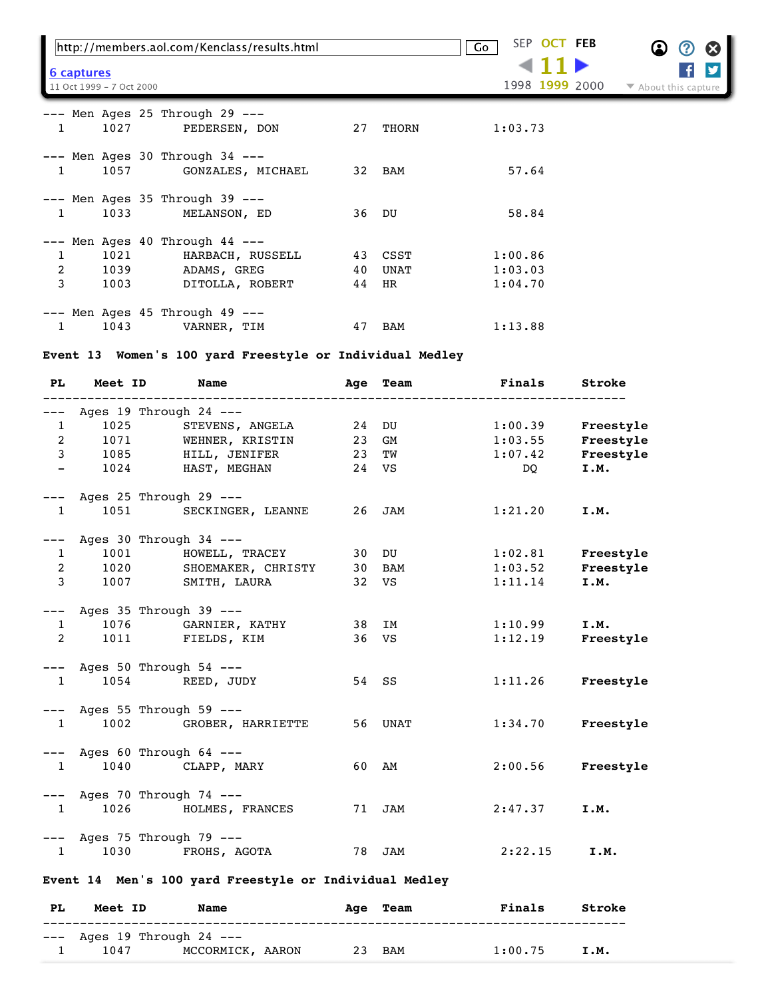|                   | http://members.aol.com/Kenclass/results.html                                      |          |              | SEP OCT FEB<br>Go  | Ø<br>(?              |
|-------------------|-----------------------------------------------------------------------------------|----------|--------------|--------------------|----------------------|
| <u>6 captures</u> | 11 Oct 1999 - 7 Oct 2000                                                          |          |              | 1998 1999 2000     | ▼ About this capture |
| $\mathbf{1}$      | $---$ Men Ages 25 Through 29 $---$<br>1027<br>PEDERSEN, DON                       | 27       | THORN        | 1:03.73            |                      |
| $\mathbf{1}$      | $---$ Men Ages 30 Through 34 $---$<br>1057 GONZALES, MICHAEL                      |          | 32 BAM       | 57.64              |                      |
| $\mathbf{1}$      | $---$ Men Ages 35 Through 39 $---$<br>1033 100<br>MELANSON, ED                    | 36 DU    |              | 58.84              |                      |
| $\mathbf{1}$<br>2 | Men Ages $40$ Through $44$ ---<br>1021<br>HARBACH, RUSSELL<br>1039<br>ADAMS, GREG | 43<br>40 | CSST<br>UNAT | 1:00.86<br>1:03.03 |                      |
| 3                 | 1003<br>DITOLLA, ROBERT                                                           | 44       | HR           | 1:04.70            |                      |
| $\mathbf{1}$      | --- Men Ages 45 Through 49 ---<br>1043<br>VARNER, TIM                             | 47       | BAM          | 1:13.88            |                      |

# **Event 13 Women's 100 yard Freestyle or Individual Medley**

| PL.                      | Meet ID | <b>Name</b>                    | Aqe | Team    | Finals  | Stroke    |
|--------------------------|---------|--------------------------------|-----|---------|---------|-----------|
| $---$                    |         | Ages 19 Through 24 ---         |     |         |         |           |
| $\mathbf{1}$             | 1025    | STEVENS, ANGELA                | 24  | DU      | 1:00.39 | Freestyle |
| $\overline{2}$           | 1071    | WEHNER, KRISTIN                | 23  | GM      | 1:03.55 | Freestyle |
| $\mathbf{3}$             | 1085    | HILL, JENIFER                  | 23  | TW      | 1:07.42 | Freestyle |
| $\overline{\phantom{0}}$ | 1024    | HAST, MEGHAN                   |     | 24 VS   | DQ      | I.M.      |
| $---$                    |         | Ages 25 Through 29 ---         |     |         |         |           |
| 1                        | 1051    | SECKINGER, LEANNE              | 26  | JAM     | 1:21.20 | I.M.      |
| $---$                    |         | Ages 30 Through 34 ---         |     |         |         |           |
| $\mathbf{1}$             | 1001    | HOWELL, TRACEY                 |     | 30 DU   | 1:02.81 | Freestyle |
| $\overline{2}$           |         | 1020 SHOEMAKER, CHRISTY        | 30  | BAM     | 1:03.52 | Freestyle |
| $\mathbf{3}$             | 1007    | SMITH, LAURA                   |     | 32 VS   | 1:11.14 | I.M.      |
|                          |         | $---$ Ages 35 Through 39 $---$ |     |         |         |           |
| $\mathbf{1}$             | 1076    | GARNIER, KATHY                 | 38  | IM      | 1:10.99 | I.M.      |
| $\overline{2}$           | 1011    | FIELDS, KIM                    |     | 36 VS   | 1:12.19 | Freestyle |
|                          |         | $---$ Ages 50 Through 54 $---$ |     |         |         |           |
| 1                        | 1054    | REED, JUDY                     |     | 54 SS   | 1:11.26 | Freestyle |
| $---$                    |         | Ages 55 Through 59 ---         |     |         |         |           |
| 1                        | 1002    | GROBER, HARRIETTE              |     | 56 UNAT | 1:34.70 | Freestyle |
| $---$                    |         | Ages 60 Through 64 ---         |     |         |         |           |
| 1                        | 1040    | CLAPP, MARY                    | 60  | AM      | 2:00.56 | Freestyle |
| $---$                    |         | Ages 70 Through 74 ---         |     |         |         |           |
| 1                        | 1026    | HOLMES, FRANCES                | 71  | JAM     | 2:47.37 | I.M.      |
|                          |         | $---$ Ages 75 Through 79 $---$ |     |         |         |           |
| $1 \quad \blacksquare$   | 1030    | FROHS, AGOTA                   | 78  | JAM     | 2:22.15 | I.M.      |

**Event 14 Men's 100 yard Freestyle or Individual Medley** 

| PL. | Meet ID | Name                           |  | Age Team | Finals  | Stroke |
|-----|---------|--------------------------------|--|----------|---------|--------|
|     |         | $---$ Ages 19 Through 24 $---$ |  |          |         |        |
|     | 1047    | MCCORMICK, AARON               |  | 23 BAM   | 1:00.75 | I.M.   |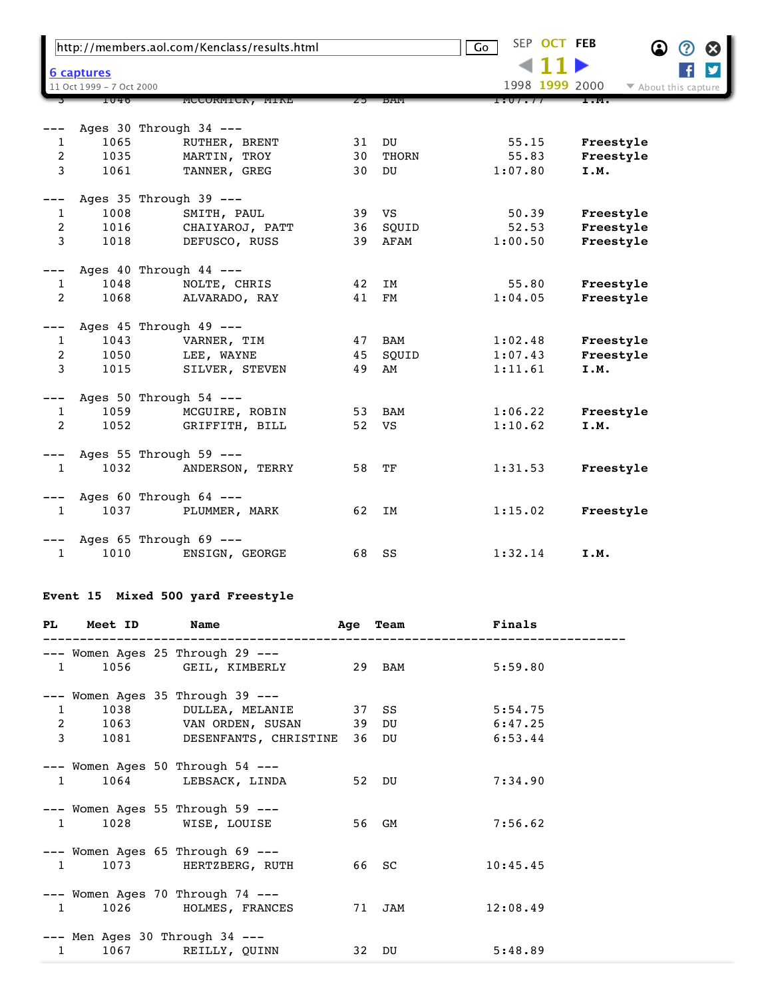| http://members.aol.com/Kenclass/results.html |                                               |                          |       |            | SEP OCT FEB<br>$\overline{\mathsf{Go}}$ | $\bf \Omega$ | ⊗<br>(2                 |
|----------------------------------------------|-----------------------------------------------|--------------------------|-------|------------|-----------------------------------------|--------------|-------------------------|
|                                              |                                               |                          |       |            |                                         |              | $\overline{\mathbf{y}}$ |
|                                              | <b>6 captures</b><br>11 Oct 1999 - 7 Oct 2000 |                          |       |            | 1998 1999 2000                          |              | ▼ About this capture    |
|                                              | 1046                                          | MCCORMICK, MIKE          | $25-$ | — БАМ      | 1:07.77                                 |              |                         |
|                                              |                                               |                          |       |            |                                         |              |                         |
|                                              |                                               | Ages 30 Through 34 ---   |       |            |                                         |              |                         |
| 1                                            | 1065                                          | RUTHER, BRENT            | 31    | DU         | 55.15                                   | Freestyle    |                         |
| $\overline{c}$                               | 1035                                          | MARTIN, TROY             | 30    | THORN      | 55.83                                   | Freestyle    |                         |
| 3                                            | 1061                                          | TANNER, GREG             | 30    | DU         | 1:07.80                                 | I.M.         |                         |
|                                              |                                               | Ages 35 Through 39 ---   |       |            |                                         |              |                         |
| 1                                            | 1008                                          | SMITH, PAUL              | 39    | VS         | 50.39                                   | Freestyle    |                         |
| 2                                            | 1016                                          | CHAIYAROJ, PATT          | 36    | SQUID      | 52.53                                   | Freestyle    |                         |
| 3                                            | 1018                                          | DEFUSCO, RUSS            | 39    | AFAM       | 1:00.50                                 | Freestyle    |                         |
| ---                                          |                                               | Ages 40 Through 44 ---   |       |            |                                         |              |                         |
| 1                                            | 1048                                          | NOLTE, CHRIS             | 42    | ΙM         | 55.80                                   | Freestyle    |                         |
| 2                                            | 1068                                          | ALVARADO, RAY            | 41    | FM         | 1:04.05                                 | Freestyle    |                         |
|                                              |                                               | Ages 45 Through 49 ---   |       |            |                                         |              |                         |
| 1                                            | 1043                                          | VARNER, TIM              | 47    | <b>BAM</b> | 1:02.48                                 | Freestyle    |                         |
| 2                                            | 1050                                          | LEE, WAYNE               | 45    | SQUID      | 1:07.43                                 | Freestyle    |                         |
| 3                                            | 1015                                          | SILVER, STEVEN           | 49    | AM         | 1:11.61                                 | I.M.         |                         |
|                                              |                                               | Ages 50 Through 54 ---   |       |            |                                         |              |                         |
| 1                                            | 1059                                          | MCGUIRE, ROBIN           | 53    | BAM        | 1:06.22                                 | Freestyle    |                         |
| 2                                            | 1052                                          | GRIFFITH, BILL           | 52    | VS         | 1:10.62                                 | I.M.         |                         |
|                                              |                                               | Ages 55 Through 59 ---   |       |            |                                         |              |                         |
| $\mathbf{1}$                                 | 1032                                          | ANDERSON, TERRY          | 58    | TF         | 1:31.53                                 | Freestyle    |                         |
|                                              |                                               | Ages 60 Through $64$ --- |       |            |                                         |              |                         |
| 1                                            | 1037                                          | PLUMMER, MARK            | 62    | IM         | 1:15.02                                 | Freestyle    |                         |
|                                              |                                               | Ages 65 Through 69 ---   |       |            |                                         |              |                         |
| 1                                            | 1010                                          | ENSIGN, GEORGE           | 68    | SS         | 1:32.14                                 | I.M.         |                         |

## **Event 15 Mixed 500 yard Freestyle**

|              |  | PL Meet ID Name                                                                                           |        | Age Team Finals  |
|--------------|--|-----------------------------------------------------------------------------------------------------------|--------|------------------|
|              |  | --- Women Ages 25 Through 29 ---<br>1 1056 GEIL, KIMBERLY 29 BAM 5:59.80                                  |        |                  |
|              |  | --- Women Ages 35 Through 39 ---<br>1 1038 DULLEA, MELANIE 37 SS<br>2 1063 VAN ORDEN, SUSAN 39 DU 6:47.25 |        | 5:54.75          |
| $\mathbf{3}$ |  | 1081 DESENFANTS, CHRISTINE 36 DU 6:53.44                                                                  |        |                  |
|              |  | $---$ Women Ages 50 Through 54 $---$<br>1 1064 LEBSACK, LINDA                                             | 52 DU  | 7:34.90          |
|              |  | $---$ Women Ages 55 Through 59 $---$<br>1 1028 WISE, LOUISE                                               | 56 GM  | 7:56.62          |
|              |  | $---$ Women Ages 65 Through 69 $---$<br>1 1073 HERTZBERG, RUTH 66 SC                                      |        | 10:45.45         |
|              |  | $---$ Women Ages 70 Through 74 $---$<br>1 1026 HOLMES, FRANCES                                            | 71 JAM | 12:08.49         |
|              |  | $---$ Men Ages 30 Through 34 $---$<br>1 1067 REILLY, QUINN                                                |        | 32 DU<br>5:48.89 |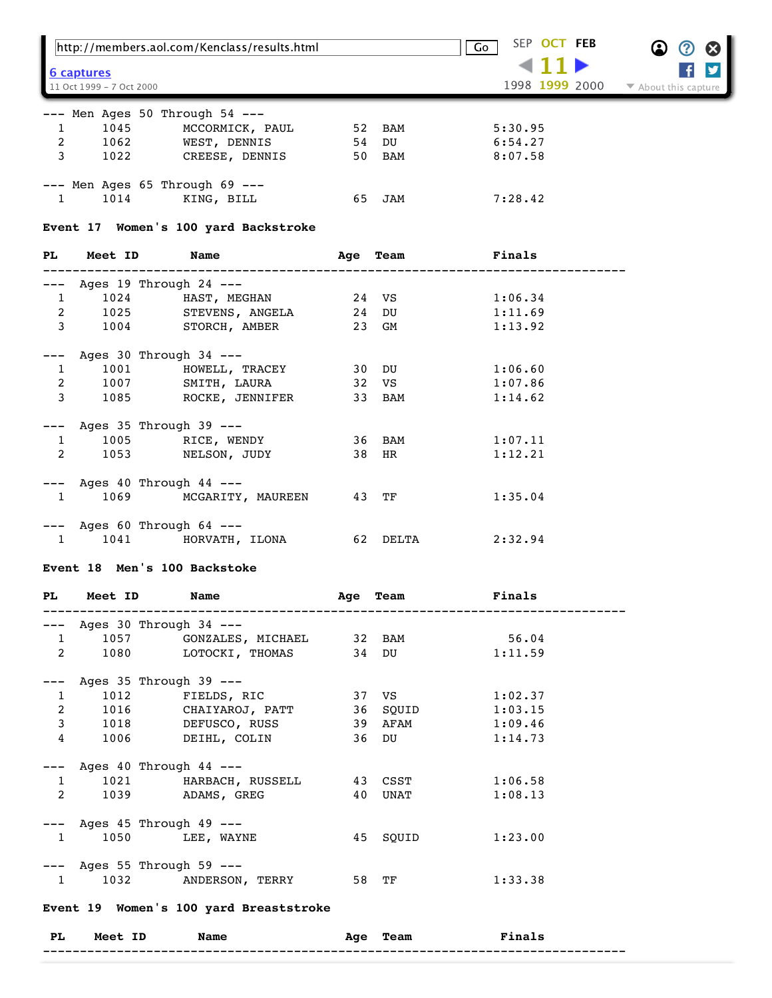|                              |                                | http://members.aol.com/Kenclass/results.html |     |                 | SEP OCT FEB<br>Go        | Ø                                        |
|------------------------------|--------------------------------|----------------------------------------------|-----|-----------------|--------------------------|------------------------------------------|
|                              | <u>6 captures</u>              |                                              |     |                 |                          |                                          |
|                              | 11 Oct 1999 - 7 Oct 2000       |                                              |     |                 | 1998 1999 2000           | $\blacktriangleright$ About this capture |
|                              |                                | --- Men Ages 50 Through 54 ---               |     |                 |                          |                                          |
| $\mathbf{1}$<br>$\mathbf{2}$ | 1045                           | MCCORMICK, PAUL<br>1062 WEST, DENNIS         |     | 52 BAM<br>54 DU | 5:30.95<br>6:54.27       |                                          |
|                              | $3^{\circ}$<br>1022            | CREESE, DENNIS                               |     | 50 BAM          | 8:07.58                  |                                          |
|                              |                                |                                              |     |                 |                          |                                          |
|                              |                                | --- Men Ages 65 Through 69 ---               |     |                 |                          |                                          |
| $\mathbf{1}$                 | 1014                           | KING, BILL                                   | 65  | JAM             | 7:28.42                  |                                          |
|                              |                                | Event 17 Women's 100 yard Backstroke         |     |                 |                          |                                          |
| PL                           | Meet ID                        | Name                                         | Age | Team            | Finals                   |                                          |
| ---                          | Ages 19 Through 24 ---         |                                              |     |                 |                          |                                          |
| $\mathbf{1}$                 | 1024                           | HAST, MEGHAN                                 |     | 24 VS           | 1:06.34                  |                                          |
| $\overline{a}$               | 1025                           | STEVENS, ANGELA                              |     | 24 DU           | 1:11.69                  |                                          |
| 3                            |                                | 1004 STORCH, AMBER                           |     | 23 GM           | 1:13.92                  |                                          |
|                              | --- Ages 30 Through 34 ---     |                                              |     |                 |                          |                                          |
| $\mathbf{1}$                 |                                | 1001 HOWELL, TRACEY                          |     | 30 DU           | 1:06.60                  |                                          |
| $\overline{a}$               |                                | 1007 SMITH, LAURA                            |     | 32 VS           | 1:07.86                  |                                          |
| 3                            | 1085 700                       | ROCKE, JENNIFER                              |     | 33 BAM          | 1:14.62                  |                                          |
|                              |                                |                                              |     |                 |                          |                                          |
| $\mathbf{1}$                 | --- Ages 35 Through 39 ---     | 1005 RICE, WENDY                             |     | 36 BAM          | 1:07.11                  |                                          |
| 2                            | 1053                           | NELSON, JUDY                                 |     | 38 HR           | 1:12.21                  |                                          |
|                              |                                |                                              |     |                 |                          |                                          |
|                              | --- Ages 40 Through 44 ---     |                                              |     |                 |                          |                                          |
| $\mathbf{1}$                 | 1069                           | MCGARITY, MAUREEN                            |     | 43 TF           | 1:35.04                  |                                          |
|                              | $---$ Ages 60 Through 64 $---$ |                                              |     |                 |                          |                                          |
| $\mathbf{1}$                 | 1041                           | HORVATH, ILONA                               |     | 62 DELTA        | 2:32.94                  |                                          |
|                              |                                | Event 18 Men's 100 Backstoke                 |     |                 |                          |                                          |
|                              |                                |                                              |     |                 |                          |                                          |
| PL                           | Meet ID                        | Name                                         | Age | Team            | Finals                   |                                          |
|                              | --- Ages 30 Through 34 ---     |                                              |     |                 |                          |                                          |
| $\mathbf{1}$                 | 1057                           | GONZALES, MICHAEL 32 BAM                     |     |                 | 56.04                    |                                          |
| $\overline{2}$               |                                | 1080 LOTOCKI, THOMAS 34 DU                   |     |                 | 1:11.59                  |                                          |
|                              | --- Ages 35 Through 39 ---     |                                              |     |                 |                          |                                          |
| 1                            |                                | 1012 FIELDS, RIC                             |     | 37 VS           | 1:02.37                  |                                          |
|                              |                                | 2 1016 CHAIYAROJ, PATT 36 SQUID              |     |                 | 1:03.15                  |                                          |
|                              |                                | 3 1018 DEFUSCO, RUSS 39 AFAM                 |     |                 | 1:09.46                  |                                          |
| $\overline{4}$               |                                | 1006 DEIHL, COLIN                            |     | 36 DU           | 1:14.73                  |                                          |
|                              |                                |                                              |     |                 |                          |                                          |
| $\mathbf{1}$                 | $---$ Ages 40 Through 44 $---$ | 1021 HARBACH, RUSSELL 43 CSST                |     |                 | 1:06.58                  |                                          |
| $\overline{2}$               |                                | 1039 ADAMS, GREG                             |     | 40 UNAT         | 1:08.13                  |                                          |
|                              |                                |                                              |     |                 |                          |                                          |
|                              | --- Ages 45 Through 49 ---     |                                              |     |                 |                          |                                          |
|                              | $\mathbf{1}$                   | 1050 LEE, WAYNE                              |     | 45 SQUID        | 1:23.00                  |                                          |
|                              | --- Ages 55 Through 59 ---     |                                              |     |                 |                          |                                          |
|                              | $1 \quad \blacksquare$         | 1032 ANDERSON, TERRY                         |     | 58 TF           | 1:33.38                  |                                          |
|                              |                                | Event 19 Women's 100 yard Breaststroke       |     |                 |                          |                                          |
|                              |                                |                                              |     |                 |                          |                                          |
| PL                           | Meet ID                        | Name                                         |     | Age Team        | <b>Example 18</b> Finals |                                          |
|                              |                                |                                              |     |                 |                          |                                          |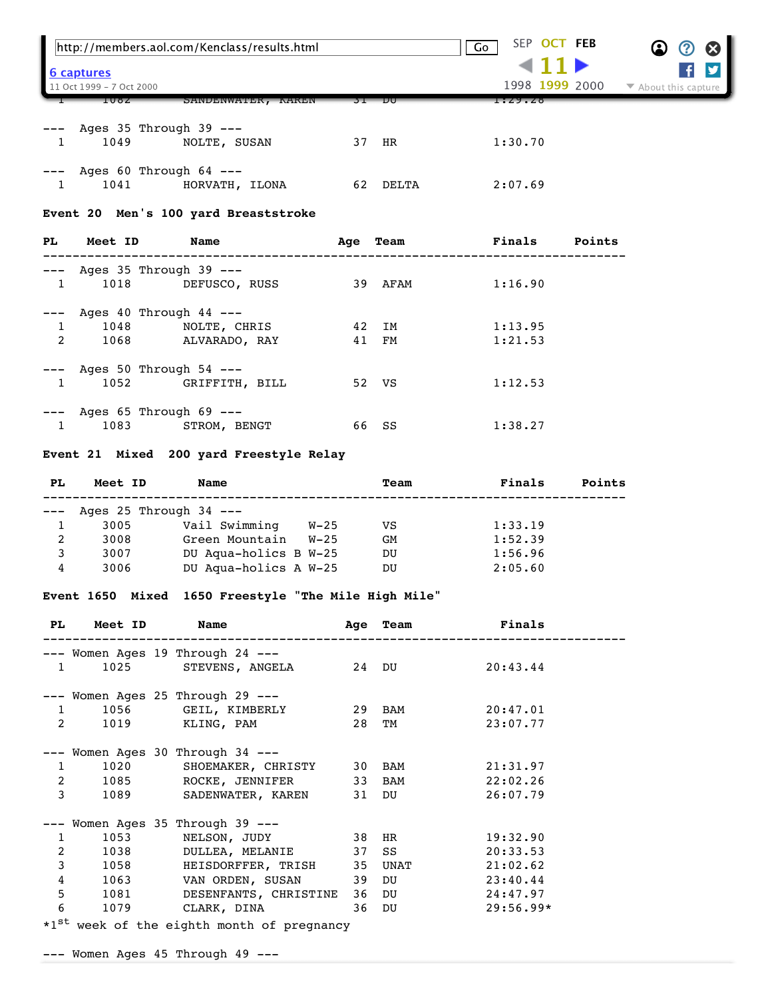|              |                                | http://members.aol.com/Kenclass/results.html |          | SEP OCT FEB<br>Go |        | (2)<br>$\boldsymbol{\alpha}$ |
|--------------|--------------------------------|----------------------------------------------|----------|-------------------|--------|------------------------------|
|              | 6 captures                     |                                              |          |                   |        |                              |
|              | 11 Oct 1999 - 7 Oct 2000       |                                              |          | 1998 1999 2000    |        | ▼ About this capture         |
|              | 108Z                           | SANDENWATER, KAREN                           | 31 DU    | 1:29.28           |        |                              |
|              | Ages 35 Through 39 ---         |                                              |          |                   |        |                              |
| $\mathbf{1}$ |                                | 1049 NOLTE, SUSAN                            | 37 HR    | 1:30.70           |        |                              |
|              | $---$ Ages 60 Through 64 $---$ |                                              |          |                   |        |                              |
| 1            |                                | 1041 HORVATH, ILONA                          | 62       | 2:07.69<br>DELTA  |        |                              |
|              |                                | Event 20 Men's 100 yard Breaststroke         |          |                   |        |                              |
| PL           | <b>Meet ID</b>                 | Name                                         | Age Team | <b>Finals</b>     | Points |                              |
|              | Ages 35 Through 39 ---         |                                              |          |                   |        |                              |
| 1            | 1018                           | DEFUSCO, RUSS                                | 39 AFAM  | 1:16.90           |        |                              |
|              | Ages $40$ Through $44$ ---     |                                              |          |                   |        |                              |
| 1            | 1048                           | NOLTE, CHRIS                                 | 42 IM    | 1:13.95           |        |                              |

|           | Ages $25$ Through $34$ ---             |                                         |       |      |         |        |
|-----------|----------------------------------------|-----------------------------------------|-------|------|---------|--------|
| <b>PL</b> | Meet ID                                | Name                                    |       | Team | Finals  | Points |
|           |                                        | Event 21 Mixed 200 yard Freestyle Relay |       |      |         |        |
|           | $---$ Ages 65 Through 69 $---$<br>1083 | STROM, BENGT                            | 66 SS |      | 1:38.27 |        |
|           | 1052                                   | GRIFFITH, BILL                          | 52 VS |      | 1:12.53 |        |

2 1068 ALVARADO, RAY 41 FM 1:21.53

| 1  | 3005 | Vail Swimming         | W-25 | VS. | 1:33.19 |
|----|------|-----------------------|------|-----|---------|
| 2  | 3008 | Green Mountain        | W-25 | GМ  | 1:52.39 |
| -3 | 3007 | DU Aqua-holics B W-25 |      | DU  | 1:56.96 |
| 4  | 3006 | DU Aqua-holics A W-25 |      | DU  | 2:05.60 |
|    |      |                       |      |     |         |

## **Event 1650 Mixed 1650 Freestyle "The Mile High Mile"**

|                | PL Meet ID                     | Name                                       | ----------------- | Age Team | Finals         |
|----------------|--------------------------------|--------------------------------------------|-------------------|----------|----------------|
|                |                                | --- Women Ages 19 Through 24 ---           |                   |          |                |
| $\mathbf{1}$   |                                | 1025 STEVENS, ANGELA 24 DU                 |                   |          | 20:43.44       |
|                |                                | --- Women Ages 25 Through 29 ---           |                   |          |                |
|                | $1 \quad \blacksquare$         | 1056 GEIL, KIMBERLY                        |                   | 29 BAM   | 20:47.01       |
| $\overline{2}$ |                                | 1019 KLING, PAM                            |                   | 28 TM    | 23:07.77       |
|                |                                | --- Women Ages 30 Through 34 ---           |                   |          |                |
|                | 1020<br>$1 \quad \blacksquare$ | SHOEMAKER, CHRISTY 30 BAM                  |                   |          | 21:31.97       |
| $\overline{2}$ | 1085 - 108                     | ROCKE, JENNIFER 33 BAM                     |                   |          | 22:02.26       |
| 3              | 1089                           | SADENWATER, KAREN 31 DU                    |                   |          | 26:07.79       |
|                |                                | -- Women Ages 35 Through 39 ---            |                   |          |                |
| $\mathbf{1}$   | 1053                           | NELSON, JUDY 38 HR                         |                   |          | 19:32.90       |
| 2              | 1038                           | DULLEA, MELANIE 37 SS                      |                   |          | 20:33.53       |
| $\mathbf{3}$   | 1058 700                       | HEISDORFFER, TRISH 35 UNAT                 |                   |          | 21:02.62       |
| $\overline{4}$ | 1063                           | VAN ORDEN, SUSAN                           |                   |          | 39 DU 23:40.44 |
| 5 <sup>1</sup> |                                | 1081 DESENFANTS, CHRISTINE 36 DU 24:47.97  |                   |          |                |
| 6              |                                | 1079 CLARK, DINA                           |                   | 36 DU    | $29:56.99*$    |
|                |                                | *1st week of the eighth month of pregnancy |                   |          |                |

--- Women Ages 45 Through 49 ---

--- Ages 50 Through 54 ---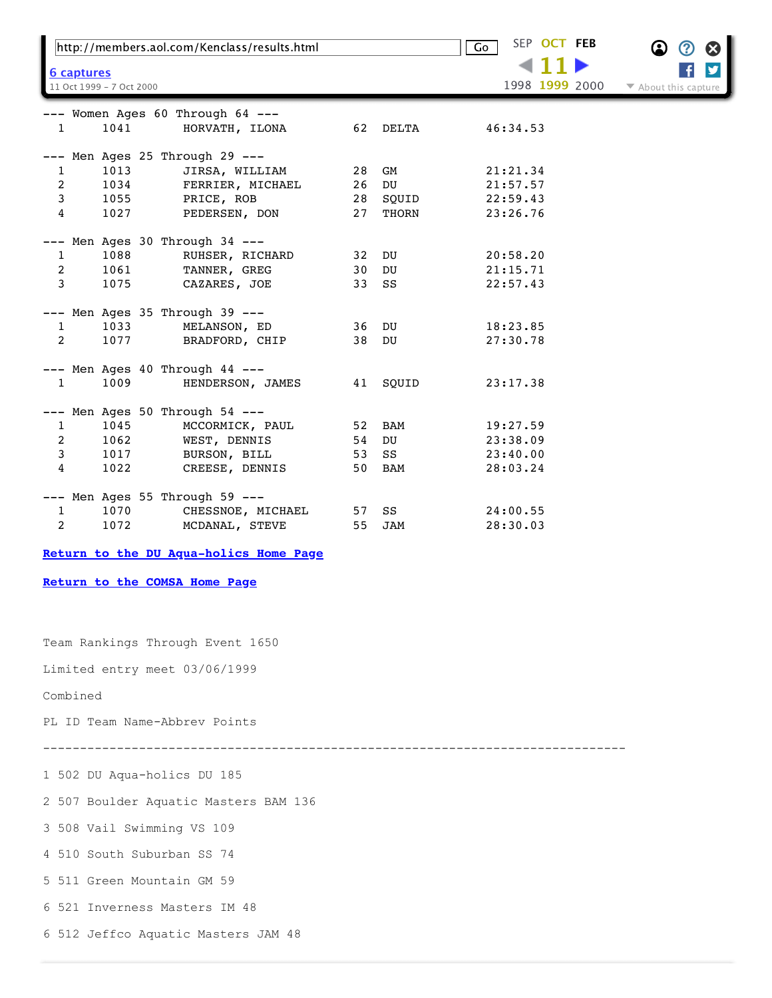| http://members.aol.com/Kenclass/results.html |                          |                                  |    |       | SEP OCT FEB<br>$\overline{\mathsf{Go}}$ | Ω<br>B<br>3          |
|----------------------------------------------|--------------------------|----------------------------------|----|-------|-----------------------------------------|----------------------|
| 6 captures                                   |                          |                                  |    |       |                                         |                      |
|                                              | 11 Oct 1999 - 7 Oct 2000 |                                  |    |       | 1998 1999 2000                          | ▼ About this capture |
|                                              |                          | --- Women Ages 60 Through 64 --- |    |       |                                         |                      |
| $\mathbf{1}$                                 | 1041                     | HORVATH, ILONA                   | 62 | DELTA | 46:34.53                                |                      |
|                                              |                          | --- Men Ages 25 Through 29 ---   |    |       |                                         |                      |
| $\mathbf{1}$                                 | 1013                     | JIRSA, WILLIAM                   | 28 | GM    | 21:21.34                                |                      |
| 2                                            | 1034                     | FERRIER, MICHAEL                 | 26 | DU    | 21:57.57                                |                      |
| 3                                            | 1055                     | PRICE, ROB                       | 28 | SQUID | 22:59.43                                |                      |
| 4                                            | 1027                     | PEDERSEN, DON                    | 27 | THORN | 23:26.76                                |                      |
|                                              |                          | --- Men Ages 30 Through 34 ---   |    |       |                                         |                      |
| $\mathbf{1}$                                 | 1088                     | RUHSER, RICHARD                  | 32 | DU    | 20:58.20                                |                      |
| $\overline{c}$                               | 1061                     | TANNER, GREG                     | 30 | DU    | 21:15.71                                |                      |
| $\mathbf{3}$                                 | 1075                     | CAZARES, JOE                     | 33 | SS    | 22:57.43                                |                      |
|                                              |                          | --- Men Ages 35 Through 39 ---   |    |       |                                         |                      |
| $\mathbf{1}$                                 | 1033                     | MELANSON, ED                     | 36 | DU    | 18:23.85                                |                      |
| $\overline{a}$                               | 1077                     | BRADFORD, CHIP                   | 38 | DU    | 27:30.78                                |                      |
|                                              |                          | --- Men Ages 40 Through 44 ---   |    |       |                                         |                      |
| $\mathbf{1}$                                 | 1009                     | HENDERSON, JAMES                 | 41 | SQUID | 23:17.38                                |                      |
|                                              |                          | --- Men Ages 50 Through 54 ---   |    |       |                                         |                      |
| $\mathbf{1}$                                 | 1045                     | MCCORMICK, PAUL                  | 52 | BAM   | 19:27.59                                |                      |
| 2                                            | 1062                     | WEST, DENNIS                     | 54 | DU    | 23:38.09                                |                      |
| 3                                            | 1017                     | BURSON, BILL                     | 53 | SS    | 23:40.00                                |                      |
| 4                                            | 1022                     | CREESE, DENNIS                   | 50 | BAM   | 28:03.24                                |                      |
|                                              |                          | --- Men Ages 55 Through 59 ---   |    |       |                                         |                      |
| 1                                            | 1070                     | CHESSNOE, MICHAEL                | 57 | SS    | 24:00.55                                |                      |
| 2                                            | 1072                     | MCDANAL, STEVE                   | 55 | JAM   | 28:30.03                                |                      |

**[Return to the DU Aqua-holics Home Page](https://web.archive.org/web/19991011024644/http://members.aol.com/dumasters/swim.html)**

**[Return to the COMSA Home Page](https://web.archive.org/web/19991011024644/http://www.comsa.org/)**

Team Rankings Through Event 1650

Limited entry meet 03/06/1999

Combined

PL ID Team Name-Abbrev Points

-------------------------------------------------------------------------------

1 502 DU Aqua-holics DU 185

2 507 Boulder Aquatic Masters BAM 136

3 508 Vail Swimming VS 109

4 510 South Suburban SS 74

5 511 Green Mountain GM 59

6 521 Inverness Masters IM 48

6 512 Jeffco Aquatic Masters JAM 48